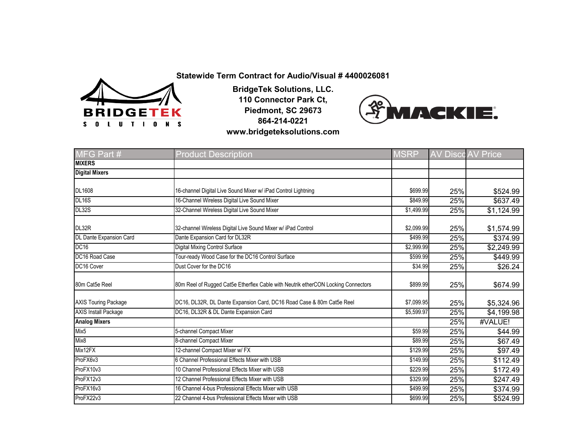

**BridgeTek Solutions, LLC. 110 Connector Park Ct, Piedmont, SC 29673 864-214-0221 www.bridgeteksolutions.com**



| MFG Part #                  | <b>Product Description</b>                                                        | <b>MSRP</b> |     | <b>AV Disco AV Price</b> |
|-----------------------------|-----------------------------------------------------------------------------------|-------------|-----|--------------------------|
| <b>MIXERS</b>               |                                                                                   |             |     |                          |
| <b>Digital Mixers</b>       |                                                                                   |             |     |                          |
| <b>DL1608</b>               | 16-channel Digital Live Sound Mixer w/ iPad Control Lightning                     | \$699.99    | 25% | \$524.99                 |
| <b>DL16S</b>                | 16-Channel Wireless Digital Live Sound Mixer                                      | \$849.99    | 25% | \$637.49                 |
| DL32S                       | 32-Channel Wireless Digital Live Sound Mixer                                      | \$1,499.99  | 25% | \$1,124.99               |
| DL32R                       | 32-channel Wireless Digital Live Sound Mixer w/ iPad Control                      | \$2,099.99  | 25% | \$1,574.99               |
| DL Dante Expansion Card     | Dante Expansion Card for DL32R                                                    | \$499.99    | 25% | \$374.99                 |
| <b>DC16</b>                 | Digital Mixing Control Surface                                                    | \$2,999.99  | 25% | \$2,249.99               |
| DC16 Road Case              | Tour-ready Wood Case for the DC16 Control Surface                                 | \$599.99    | 25% | \$449.99                 |
| DC16 Cover                  | Dust Cover for the DC16                                                           | \$34.99     | 25% | \$26.24                  |
| 80m Cat5e Reel              | 80m Reel of Rugged Cat5e Etherflex Cable with Neutrik etherCON Locking Connectors | \$899.99    | 25% | \$674.99                 |
| <b>AXIS Touring Package</b> | DC16, DL32R, DL Dante Expansion Card, DC16 Road Case & 80m Cat5e Reel             | \$7,099.95  | 25% | \$5,324.96               |
| <b>AXIS Install Package</b> | DC16, DL32R & DL Dante Expansion Card                                             | \$5,599.97  | 25% | \$4,199.98               |
| <b>Analog Mixers</b>        |                                                                                   |             | 25% | #VALUE!                  |
| Mix <sub>5</sub>            | 5-channel Compact Mixer                                                           | \$59.99     | 25% | \$44.99                  |
| Mix8                        | 8-channel Compact Mixer                                                           | \$89.99     | 25% | \$67.49                  |
| Mix12FX                     | 12-channel Compact Mixer w/ FX                                                    | \$129.99    | 25% | \$97.49                  |
| ProFX6v3                    | 6 Channel Professional Effects Mixer with USB                                     | \$149.99    | 25% | \$112.49                 |
| ProFX10v3                   | 10 Channel Professional Effects Mixer with USB                                    | \$229.99    | 25% | \$172.49                 |
| ProFX12v3                   | 12 Channel Professional Effects Mixer with USB                                    | \$329.99    | 25% | \$247.49                 |
| ProFX16v3                   | 16 Channel 4-bus Professional Effects Mixer with USB                              | \$499.99    | 25% | \$374.99                 |
| ProFX22v3                   | 22 Channel 4-bus Professional Effects Mixer with USB                              | \$699.99    | 25% | \$524.99                 |

**Statewide Term Contract for Audio/Visual # 4400026081**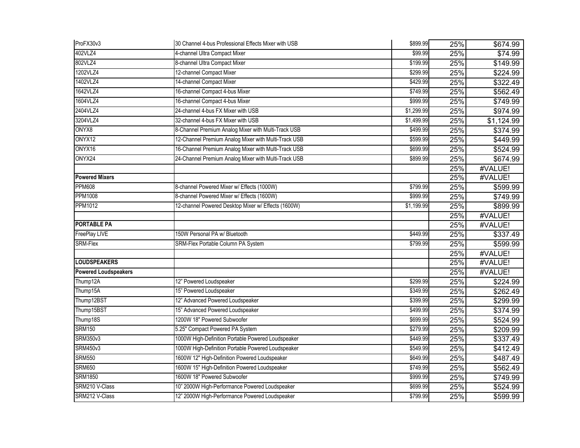| ProFX30v3                   | 30 Channel 4-bus Professional Effects Mixer with USB | \$899.99   | 25% | \$674.99   |
|-----------------------------|------------------------------------------------------|------------|-----|------------|
| 402VLZ4                     | 4-channel Ultra Compact Mixer                        | \$99.99    | 25% | \$74.99    |
| 802VLZ4                     | 8-channel Ultra Compact Mixer                        | \$199.99   | 25% | \$149.99   |
| 1202VLZ4                    | 12-channel Compact Mixer                             | \$299.99   | 25% | \$224.99   |
| 1402VLZ4                    | 14-channel Compact Mixer                             | \$429.99   | 25% | \$322.49   |
| 1642VLZ4                    | 16-channel Compact 4-bus Mixer                       | \$749.99   | 25% | \$562.49   |
| 1604VLZ4                    | 16-channel Compact 4-bus Mixer                       | \$999.99   | 25% | \$749.99   |
| 2404VLZ4                    | 24-channel 4-bus FX Mixer with USB                   | \$1,299.99 | 25% | \$974.99   |
| 3204VLZ4                    | 32-channel 4-bus FX Mixer with USB                   | \$1,499.99 | 25% | \$1,124.99 |
| ONYX8                       | 8-Channel Premium Analog Mixer with Multi-Track USB  | \$499.99   | 25% | \$374.99   |
| ONYX12                      | 12-Channel Premium Analog Mixer with Multi-Track USB | \$599.99   | 25% | \$449.99   |
| ONYX16                      | 16-Channel Premium Analog Mixer with Multi-Track USB | \$699.99   | 25% | \$524.99   |
| ONYX24                      | 24-Channel Premium Analog Mixer with Multi-Track USB | \$899.99   | 25% | \$674.99   |
|                             |                                                      |            | 25% | #VALUE!    |
| <b>Powered Mixers</b>       |                                                      |            | 25% | #VALUE!    |
| <b>PPM608</b>               | 8-channel Powered Mixer w/ Effects (1000W)           | \$799.99   | 25% | \$599.99   |
| <b>PPM1008</b>              | 8-channel Powered Mixer w/ Effects (1600W)           | \$999.99   | 25% | \$749.99   |
| PPM1012                     | 12-channel Powered Desktop Mixer w/ Effects (1600W)  | \$1,199.99 | 25% | \$899.99   |
|                             |                                                      |            | 25% | #VALUE!    |
| <b>PORTABLE PA</b>          |                                                      |            | 25% | #VALUE!    |
| FreePlay LIVE               | 150W Personal PA w/ Bluetooth                        | \$449.99   | 25% | \$337.49   |
| <b>SRM-Flex</b>             | SRM-Flex Portable Column PA System                   | \$799.99   | 25% | \$599.99   |
|                             |                                                      |            | 25% | #VALUE!    |
| <b>LOUDSPEAKERS</b>         |                                                      |            | 25% | #VALUE!    |
| <b>Powered Loudspeakers</b> |                                                      |            | 25% | #VALUE!    |
| Thump12A                    | 12" Powered Loudspeaker                              | \$299.99   | 25% | \$224.99   |
| Thump15A                    | 15" Powered Loudspeaker                              | \$349.99   | 25% | \$262.49   |
| Thump12BST                  | 12" Advanced Powered Loudspeaker                     | \$399.99   | 25% | \$299.99   |
| Thump15BST                  | 15" Advanced Powered Loudspeaker                     | \$499.99   | 25% | \$374.99   |
| Thump18S                    | 1200W 18" Powered Subwoofer                          | \$699.99   | 25% | \$524.99   |
| <b>SRM150</b>               | 5.25" Compact Powered PA System                      | \$279.99   | 25% | \$209.99   |
| <b>SRM350v3</b>             | 1000W High-Definition Portable Powered Loudspeaker   | \$449.99   | 25% | \$337.49   |
| <b>SRM450v3</b>             | 1000W High-Definition Portable Powered Loudspeaker   | \$549.99   | 25% | \$412.49   |
| <b>SRM550</b>               | 1600W 12" High-Definition Powered Loudspeaker        | \$649.99   | 25% | \$487.49   |
| <b>SRM650</b>               | 1600W 15" High-Definition Powered Loudspeaker        | \$749.99   | 25% | \$562.49   |
| <b>SRM1850</b>              | 1600W 18" Powered Subwoofer                          | \$999.99   | 25% | \$749.99   |
| SRM210 V-Class              | 10" 2000W High-Performance Powered Loudspeaker       | \$699.99   | 25% | \$524.99   |
| SRM212 V-Class              | 12" 2000W High-Performance Powered Loudspeaker       | \$799.99   | 25% | \$599.99   |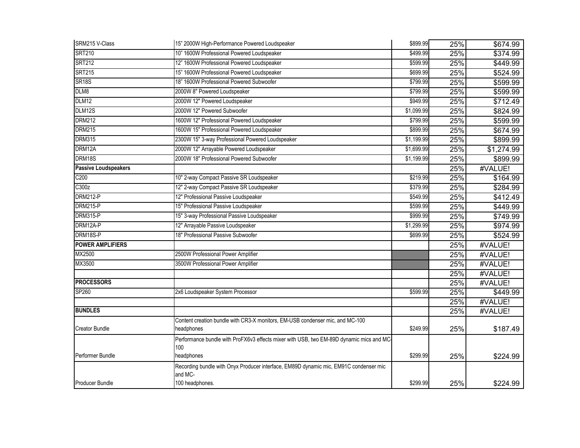| SRM215 V-Class              | 15" 2000W High-Performance Powered Loudspeaker                                                  | \$899.99   | 25% | \$674.99   |
|-----------------------------|-------------------------------------------------------------------------------------------------|------------|-----|------------|
| <b>SRT210</b>               | 10" 1600W Professional Powered Loudspeaker                                                      | \$499.99   | 25% | \$374.99   |
| <b>SRT212</b>               | 12" 1600W Professional Powered Loudspeaker                                                      | \$599.99   | 25% | \$449.99   |
| <b>SRT215</b>               | 15" 1600W Professional Powered Loudspeaker                                                      | \$699.99   | 25% | \$524.99   |
| <b>SR18S</b>                | 18" 1600W Professional Powered Subwoofer                                                        | \$799.99   | 25% | \$599.99   |
| DLM8                        | 2000W 8" Powered Loudspeaker                                                                    | \$799.99   | 25% | \$599.99   |
| DLM12                       | 2000W 12" Powered Loudspeaker                                                                   | \$949.99   | 25% | \$712.49   |
| DLM12S                      | 2000W 12" Powered Subwoofer                                                                     | \$1,099.99 | 25% | \$824.99   |
| <b>DRM212</b>               | 1600W 12" Professional Powered Loudspeaker                                                      | \$799.99   | 25% | \$599.99   |
| <b>DRM215</b>               | 1600W 15" Professional Powered Loudspeaker                                                      | \$899.99   | 25% | \$674.99   |
| <b>DRM315</b>               | 2300W 15" 3-way Professional Powered Loudspeaker                                                | \$1,199.99 | 25% | \$899.99   |
| DRM12A                      | 2000W 12" Arrayable Powered Loudspeaker                                                         | \$1,699.99 | 25% | \$1,274.99 |
| DRM18S                      | 2000W 18" Professional Powered Subwoofer                                                        | \$1,199.99 | 25% | \$899.99   |
| <b>Passive Loudspeakers</b> |                                                                                                 |            | 25% | #VALUE!    |
| C <sub>200</sub>            | 10" 2-way Compact Passive SR Loudspeaker                                                        | \$219.99   | 25% | \$164.99   |
| C300z                       | 12" 2-way Compact Passive SR Loudspeaker                                                        | \$379.99   | 25% | \$284.99   |
| <b>DRM212-P</b>             | 12" Professional Passive Loudspeaker                                                            | \$549.99   | 25% | \$412.49   |
| <b>DRM215-P</b>             | 15" Professional Passive Loudspeaker                                                            | \$599.99   | 25% | \$449.99   |
| <b>DRM315-P</b>             | 15" 3-way Professional Passive Loudspeaker                                                      | \$999.99   | 25% | \$749.99   |
| DRM12A-P                    | 12" Arrayable Passive Loudspeaker                                                               | \$1,299.99 | 25% | \$974.99   |
| DRM18S-P                    | 18" Professional Passive Subwoofer                                                              | \$699.99   | 25% | \$524.99   |
| <b>POWER AMPLIFIERS</b>     |                                                                                                 |            | 25% | #VALUE!    |
| MX2500                      | 2500W Professional Power Amplifier                                                              |            | 25% | #VALUE!    |
| MX3500                      | 3500W Professional Power Amplifier                                                              |            | 25% | #VALUE!    |
|                             |                                                                                                 |            | 25% | #VALUE!    |
| <b>PROCESSORS</b>           |                                                                                                 |            | 25% | #VALUE!    |
| SP260                       | 2x6 Loudspeaker System Processor                                                                | \$599.99   | 25% | \$449.99   |
|                             |                                                                                                 |            | 25% | #VALUE!    |
| <b>BUNDLES</b>              |                                                                                                 |            | 25% | #VALUE!    |
| <b>Creator Bundle</b>       | Content creation bundle with CR3-X monitors, EM-USB condenser mic, and MC-100<br>headphones     | \$249.99   | 25% | \$187.49   |
|                             |                                                                                                 |            |     |            |
|                             | Performance bundle with ProFX6v3 effects mixer with USB, two EM-89D dynamic mics and MC-<br>100 |            |     |            |
| Performer Bundle            | headphones                                                                                      | \$299.99   | 25% | \$224.99   |
|                             | Recording bundle with Onyx Producer interface, EM89D dynamic mic, EM91C condenser mic           |            |     |            |
| Producer Bundle             | and MC-<br>100 headphones.                                                                      | \$299.99   | 25% | \$224.99   |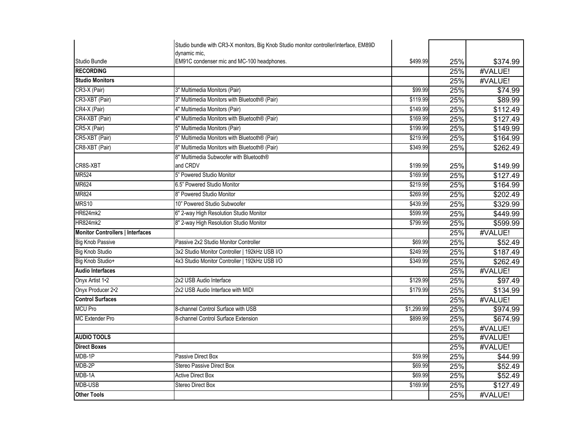|                                         | Studio bundle with CR3-X monitors, Big Knob Studio monitor controller/interface, EM89D |            |     |          |
|-----------------------------------------|----------------------------------------------------------------------------------------|------------|-----|----------|
| Studio Bundle                           | dynamic mic,<br>EM91C condenser mic and MC-100 headphones.                             | \$499.99   | 25% | \$374.99 |
| <b>RECORDING</b>                        |                                                                                        |            | 25% | #VALUE!  |
| <b>Studio Monitors</b>                  |                                                                                        |            | 25% | #VALUE!  |
| CR3-X (Pair)                            | 3" Multimedia Monitors (Pair)                                                          | \$99.99    | 25% | \$74.99  |
| CR3-XBT (Pair)                          | 3" Multimedia Monitors with Bluetooth® (Pair)                                          | \$119.99   | 25% | \$89.99  |
| CR4-X (Pair)                            | 4" Multimedia Monitors (Pair)                                                          | \$149.99   | 25% | \$112.49 |
| CR4-XBT (Pair)                          | 4" Multimedia Monitors with Bluetooth® (Pair)                                          | \$169.99   | 25% | \$127.49 |
| CR5-X (Pair)                            | 5" Multimedia Monitors (Pair)                                                          | \$199.99   | 25% | \$149.99 |
| CR5-XBT (Pair)                          | 5" Multimedia Monitors with Bluetooth® (Pair)                                          | \$219.99   | 25% | \$164.99 |
| CR8-XBT (Pair)                          | 8" Multimedia Monitors with Bluetooth® (Pair)                                          | \$349.99   | 25% | \$262.49 |
|                                         | 8" Multimedia Subwoofer with Bluetooth®                                                |            |     |          |
| CR8S-XBT                                | and CRDV                                                                               | \$199.99   | 25% | \$149.99 |
| <b>MR524</b>                            | 5" Powered Studio Monitor                                                              | \$169.99   | 25% | \$127.49 |
| <b>MR624</b>                            | 6.5" Powered Studio Monitor                                                            | \$219.99   | 25% | \$164.99 |
| MR824                                   | 8" Powered Studio Monitor                                                              | \$269.99   | 25% | \$202.49 |
| MRS10                                   | 10" Powered Studio Subwoofer                                                           | \$439.99   | 25% | \$329.99 |
| <b>HR624mk2</b>                         | 6" 2-way High Resolution Studio Monitor                                                | \$599.99   | 25% | \$449.99 |
| <b>HR824mk2</b>                         | 8" 2-way High Resolution Studio Monitor                                                | \$799.99   | 25% | \$599.99 |
| <b>Monitor Controllers   Interfaces</b> |                                                                                        |            | 25% | #VALUE!  |
| <b>Big Knob Passive</b>                 | Passive 2x2 Studio Monitor Controller                                                  | \$69.99    | 25% | \$52.49  |
| <b>Big Knob Studio</b>                  | 3x2 Studio Monitor Controller   192kHz USB I/O                                         | \$249.99   | 25% | \$187.49 |
| Big Knob Studio+                        | 4x3 Studio Monitor Controller   192kHz USB I/O                                         | \$349.99   | 25% | \$262.49 |
| <b>Audio Interfaces</b>                 |                                                                                        |            | 25% | #VALUE!  |
| Onyx Artist 1.2                         | 2x2 USB Audio Interface                                                                | \$129.99   | 25% | \$97.49  |
| Onyx Producer 2.2                       | 2x2 USB Audio Interface with MIDI                                                      | \$179.99   | 25% | \$134.99 |
| <b>Control Surfaces</b>                 |                                                                                        |            | 25% | #VALUE!  |
| <b>MCU Pro</b>                          | 8-channel Control Surface with USB                                                     | \$1,299.99 | 25% | \$974.99 |
| <b>MC Extender Pro</b>                  | 8-channel Control Surface Extension                                                    | \$899.99   | 25% | \$674.99 |
|                                         |                                                                                        |            | 25% | #VALUE!  |
| <b>AUDIO TOOLS</b>                      |                                                                                        |            | 25% | #VALUE!  |
| <b>Direct Boxes</b>                     |                                                                                        |            | 25% | #VALUE!  |
| MDB-1P                                  | Passive Direct Box                                                                     | \$59.99    | 25% | \$44.99  |
| MDB-2P                                  | <b>Stereo Passive Direct Box</b>                                                       | \$69.99    | 25% | \$52.49  |
| MDB-1A                                  | <b>Active Direct Box</b>                                                               | \$69.99    | 25% | \$52.49  |
| <b>MDB-USB</b>                          | Stereo Direct Box                                                                      | \$169.99   | 25% | \$127.49 |
| <b>Other Tools</b>                      |                                                                                        |            | 25% | #VALUE!  |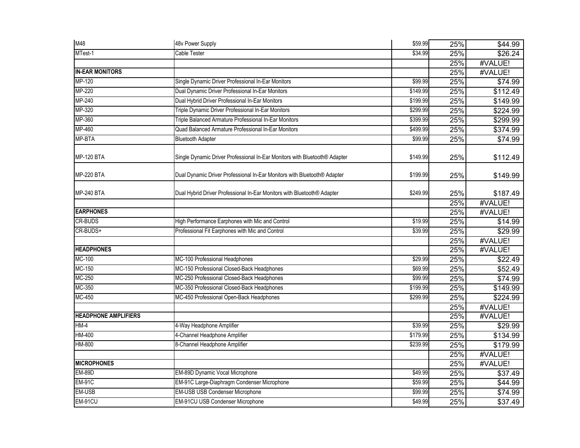| M48                         | 48v Power Supply                                                           | \$59.99  | 25%        | \$44.99             |
|-----------------------------|----------------------------------------------------------------------------|----------|------------|---------------------|
| MTest-1                     | Cable Tester                                                               | \$34.99  | 25%        | \$26.24             |
|                             |                                                                            |          | 25%        | #VALUE!             |
| <b>IN-EAR MONITORS</b>      |                                                                            |          | 25%        | #VALUE!             |
| MP-120                      | Single Dynamic Driver Professional In-Ear Monitors                         | \$99.99  | 25%        | \$74.99             |
| MP-220                      | Dual Dynamic Driver Professional In-Ear Monitors                           | \$149.99 | 25%        | \$112.49            |
| MP-240                      | Dual Hybrid Driver Professional In-Ear Monitors                            | \$199.99 | 25%        | \$149.99            |
| MP-320                      | Triple Dynamic Driver Professional In-Ear Monitors                         | \$299.99 | 25%        | \$224.99            |
| MP-360                      | Triple Balanced Armature Professional In-Ear Monitors                      | \$399.99 | 25%        | \$299.99            |
| MP-460                      | Quad Balanced Armature Professional In-Ear Monitors                        | \$499.99 | 25%        | \$374.99            |
| MP-BTA                      | <b>Bluetooth Adapter</b>                                                   | \$99.99  | 25%        | \$74.99             |
| <b>MP-120 BTA</b>           | Single Dynamic Driver Professional In-Ear Monitors with Bluetooth® Adapter | \$149.99 | 25%        | \$112.49            |
| <b>MP-220 BTA</b>           | Dual Dynamic Driver Professional In-Ear Monitors with Bluetooth® Adapter   | \$199.99 | 25%        | \$149.99            |
| <b>MP-240 BTA</b>           | Dual Hybrid Driver Professional In-Ear Monitors with Bluetooth® Adapter    | \$249.99 | 25%        | \$187.49            |
| <b>EARPHONES</b>            |                                                                            |          | 25%        | #VALUE!             |
| <b>CR-BUDS</b>              |                                                                            | \$19.99  | 25%        | #VALUE!             |
|                             | High Performance Earphones with Mic and Control                            |          | 25%        | \$14.99             |
| CR-BUDS+                    | Professional Fit Earphones with Mic and Control                            | \$39.99  | 25%        | 329.99              |
| <b>HEADPHONES</b>           |                                                                            |          | 25%<br>25% | #VALUE!<br>#VALUE!  |
| MC-100                      | MC-100 Professional Headphones                                             | \$29.99  |            |                     |
| MC-150                      | MC-150 Professional Closed-Back Headphones                                 | \$69.99  | 25%<br>25% | \$22.49             |
| MC-250                      | MC-250 Professional Closed-Back Headphones                                 | \$99.99  | 25%        | \$52.49             |
| MC-350                      | MC-350 Professional Closed-Back Headphones                                 | \$199.99 | 25%        | \$74.99             |
| MC-450                      | MC-450 Professional Open-Back Headphones                                   | \$299.99 |            | \$149.99            |
|                             |                                                                            |          | 25%        | \$224.99            |
| <b>HEADPHONE AMPLIFIERS</b> |                                                                            |          | 25%<br>25% | #VALUE!<br>#VALUE!  |
| $HM-4$                      | 4-Way Headphone Amplifier                                                  | \$39.99  | 25%        | \$29.99             |
| HM-400                      | 4-Channel Headphone Amplifier                                              | \$179.99 | 25%        | \$134.99            |
| HM-800                      | 8-Channel Headphone Amplifier                                              | \$239.99 | 25%        | \$179.99            |
|                             |                                                                            |          | 25%        | #VALUE!             |
| <b>MICROPHONES</b>          |                                                                            |          | 25%        | #VALUE!             |
| <b>EM-89D</b>               | EM-89D Dynamic Vocal Microphone                                            | \$49.99  | 25%        | $\overline{$}37.49$ |
| <b>EM-91C</b>               | EM-91C Large-Diaphragm Condenser Microphone                                | \$59.99  | 25%        | \$44.99             |
| EM-USB                      | EM-USB USB Condenser Microphone                                            | \$99.99  | 25%        | \$74.99             |
| EM-91CU                     | EM-91CU USB Condenser Microphone                                           | \$49.99  | 25%        | \$37.49             |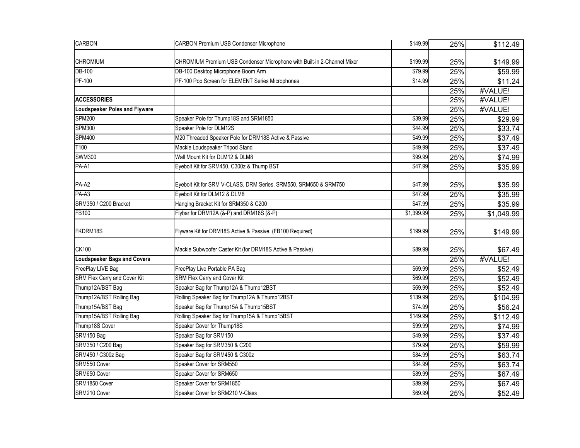| <b>CARBON</b>                        | <b>CARBON Premium USB Condenser Microphone</b>                          | \$149.99   | 25% | \$112.49   |
|--------------------------------------|-------------------------------------------------------------------------|------------|-----|------------|
| <b>CHROMIUM</b>                      | CHROMIUM Premium USB Condenser Microphone with Built-in 2-Channel Mixer | \$199.99   | 25% | \$149.99   |
| <b>DB-100</b>                        | DB-100 Desktop Microphone Boom Arm                                      | \$79.99    | 25% | \$59.99    |
| PF-100                               | PF-100 Pop Screen for ELEMENT Series Microphones                        | \$14.99    | 25% | \$11.24    |
|                                      |                                                                         |            | 25% | #VALUE!    |
| <b>ACCESSORIES</b>                   |                                                                         |            | 25% | #VALUE!    |
| <b>Loudspeaker Poles and Flyware</b> |                                                                         |            | 25% | #VALUE!    |
| <b>SPM200</b>                        | Speaker Pole for Thump18S and SRM1850                                   | \$39.99    | 25% | \$29.99    |
| <b>SPM300</b>                        | Speaker Pole for DLM12S                                                 | \$44.99    | 25% | \$33.74    |
| <b>SPM400</b>                        | M20 Threaded Speaker Pole for DRM18S Active & Passive                   | \$49.99    | 25% | \$37.49    |
| T100                                 | Mackie Loudspeaker Tripod Stand                                         | \$49.99    | 25% | \$37.49    |
| <b>SWM300</b>                        | Wall Mount Kit for DLM12 & DLM8                                         | \$99.99    | 25% | \$74.99    |
| PA-A1                                | Eyebolt Kit for SRM450, C300z & Thump BST                               | \$47.99    | 25% | \$35.99    |
| PA-A2                                | Eyebolt Kit for SRM V-CLASS, DRM Series, SRM550, SRM650 & SRM750        | \$47.99    | 25% | \$35.99    |
| PA-A3                                | Eyebolt Kit for DLM12 & DLM8                                            | \$47.99    | 25% | \$35.99    |
| SRM350 / C200 Bracket                | Hanging Bracket Kit for SRM350 & C200                                   | \$47.99    | 25% | \$35.99    |
| FB100                                | Flybar for DRM12A (&-P) and DRM18S (&-P)                                | \$1,399.99 | 25% | \$1,049.99 |
| FKDRM18S                             | Flyware Kit for DRM18S Active & Passive, (FB100 Required)               | \$199.99   | 25% | \$149.99   |
| <b>CK100</b>                         | Mackie Subwoofer Caster Kit (for DRM18S Active & Passive)               | \$89.99    | 25% | \$67.49    |
| <b>Loudspeaker Bags and Covers</b>   |                                                                         |            | 25% | #VALUE!    |
| FreePlay LIVE Bag                    | FreePlay Live Portable PA Bag                                           | \$69.99    | 25% | \$52.49    |
| SRM Flex Carry and Cover Kit         | SRM Flex Carry and Cover Kit                                            | \$69.99    | 25% | \$52.49    |
| Thump12A/BST Bag                     | Speaker Bag for Thump12A & Thump12BST                                   | \$69.99    | 25% | \$52.49    |
| Thump12A/BST Rolling Bag             | Rolling Speaker Bag for Thump12A & Thump12BST                           | \$139.99   | 25% | \$104.99   |
| Thump15A/BST Bag                     | Speaker Bag for Thump15A & Thump15BST                                   | \$74.99    | 25% | \$56.24    |
| Thump15A/BST Rolling Bag             | Rolling Speaker Bag for Thump15A & Thump15BST                           | \$149.99   | 25% | \$112.49   |
| Thump18S Cover                       | Speaker Cover for Thump18S                                              | \$99.99    | 25% | \$74.99    |
| SRM150 Bag                           | Speaker Bag for SRM150                                                  | \$49.99    | 25% | \$37.49    |
| SRM350 / C200 Bag                    | Speaker Bag for SRM350 & C200                                           | \$79.99    | 25% | \$59.99    |
| SRM450 / C300z Bag                   | Speaker Bag for SRM450 & C300z                                          | \$84.99    | 25% | \$63.74    |
| SRM550 Cover                         | Speaker Cover for SRM550                                                | \$84.99    | 25% | \$63.74    |
| SRM650 Cover                         | Speaker Cover for SRM650                                                | \$89.99    | 25% | \$67.49    |
| SRM1850 Cover                        | Speaker Cover for SRM1850                                               | \$89.99    | 25% | \$67.49    |
| SRM210 Cover                         | Speaker Cover for SRM210 V-Class                                        | \$69.99    | 25% | \$52.49    |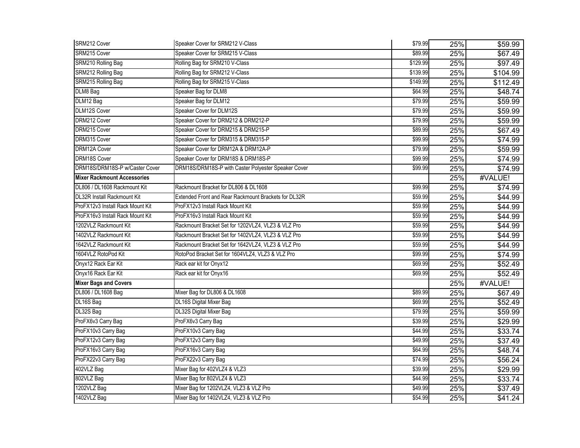| SRM212 Cover                       | Speaker Cover for SRM212 V-Class                     | \$79.99  | 25% | \$59.99             |
|------------------------------------|------------------------------------------------------|----------|-----|---------------------|
| SRM215 Cover                       | Speaker Cover for SRM215 V-Class                     | \$89.99  | 25% | \$67.49             |
| <b>SRM210 Rolling Bag</b>          | Rolling Bag for SRM210 V-Class                       | \$129.99 | 25% | \$97.49             |
| SRM212 Rolling Bag                 | Rolling Bag for SRM212 V-Class                       | \$139.99 | 25% | \$104.99            |
| SRM215 Rolling Bag                 | Rolling Bag for SRM215 V-Class                       | \$149.99 | 25% | \$112.49            |
| DLM8 Bag                           | Speaker Bag for DLM8                                 | \$64.99  | 25% | \$48.74             |
| DLM12 Bag                          | Speaker Bag for DLM12                                | \$79.99  | 25% | \$59.99             |
| <b>DLM12S Cover</b>                | Speaker Cover for DLM12S                             | \$79.99  | 25% | \$59.99             |
| DRM212 Cover                       | Speaker Cover for DRM212 & DRM212-P                  | \$79.99  | 25% | \$59.99             |
| DRM215 Cover                       | Speaker Cover for DRM215 & DRM215-P                  | \$89.99  | 25% | \$67.49             |
| DRM315 Cover                       | Speaker Cover for DRM315 & DRM315-P                  | \$99.99  | 25% | \$74.99             |
| <b>DRM12A Cover</b>                | Speaker Cover for DRM12A & DRM12A-P                  | \$79.99  | 25% | \$59.99             |
| DRM18S Cover                       | Speaker Cover for DRM18S & DRM18S-P                  | \$99.99  | 25% | \$74.99             |
| DRM18S/DRM18S-P w/Caster Cover     | DRM18S/DRM18S-P with Caster Polyester Speaker Cover  | \$99.99  | 25% | \$74.99             |
| <b>Mixer Rackmount Accessories</b> |                                                      |          | 25% | #VALUE!             |
| DL806 / DL1608 Rackmount Kit       | Rackmount Bracket for DL806 & DL1608                 | \$99.99  | 25% | \$74.99             |
| <b>DL32R Install Rackmount Kit</b> | Extended Front and Rear Rackmount Brackets for DL32R | \$59.99  | 25% | $\overline{$}44.99$ |
| ProFX12v3 Install Rack Mount Kit   | ProFX12v3 Install Rack Mount Kit                     | \$59.99  | 25% | \$44.99             |
| ProFX16v3 Install Rack Mount Kit   | ProFX16v3 Install Rack Mount Kit                     | \$59.99  | 25% | \$44.99             |
| 1202VLZ Rackmount Kit              | Rackmount Bracket Set for 1202VLZ4, VLZ3 & VLZ Pro   | \$59.99  | 25% | \$44.99             |
| 1402VLZ Rackmount Kit              | Rackmount Bracket Set for 1402VLZ4, VLZ3 & VLZ Pro   | \$59.99  | 25% | \$44.99             |
| 1642VLZ Rackmount Kit              | Rackmount Bracket Set for 1642VLZ4, VLZ3 & VLZ Pro   | \$59.99  | 25% | \$44.99             |
| 1604VLZ RotoPod Kit                | RotoPod Bracket Set for 1604VLZ4, VLZ3 & VLZ Pro     | \$99.99  | 25% | \$74.99             |
| Onyx12 Rack Ear Kit                | Rack ear kit for Onyx12                              | \$69.99  | 25% | \$52.49             |
| Onyx16 Rack Ear Kit                | Rack ear kit for Onyx16                              | \$69.99  | 25% | \$52.49             |
| <b>Mixer Bags and Covers</b>       |                                                      |          | 25% | #VALUE!             |
| DL806 / DL1608 Bag                 | Mixer Bag for DL806 & DL1608                         | \$89.99  | 25% | \$67.49             |
| DL16S Bag                          | DL16S Digital Mixer Bag                              | \$69.99  | 25% | \$52.49             |
| DL32S Bag                          | DL32S Digital Mixer Bag                              | \$79.99  | 25% | \$59.99             |
| ProFX6v3 Carry Bag                 | ProFX6v3 Carry Bag                                   | \$39.99  | 25% | \$29.99             |
| ProFX10v3 Carry Bag                | ProFX10v3 Carry Bag                                  | \$44.99  | 25% | \$33.74             |
| ProFX12v3 Carry Bag                | ProFX12v3 Carry Bag                                  | \$49.99  | 25% | \$37.49             |
| ProFX16v3 Carry Bag                | ProFX16v3 Carry Bag                                  | \$64.99  | 25% | \$48.74             |
| ProFX22v3 Carry Bag                | ProFX22v3 Carry Bag                                  | \$74.99  | 25% | \$56.24             |
| 402VLZ Bag                         | Mixer Bag for 402VLZ4 & VLZ3                         | \$39.99  | 25% | \$29.99             |
| 802VLZ Bag                         | Mixer Bag for 802VLZ4 & VLZ3                         | \$44.99  | 25% | \$33.74             |
| 1202VLZ Bag                        | Mixer Bag for 1202VLZ4, VLZ3 & VLZ Pro               | \$49.99  | 25% | \$37.49             |
| 1402VLZ Bag                        | Mixer Bag for 1402VLZ4, VLZ3 & VLZ Pro               | \$54.99  | 25% | \$41.24             |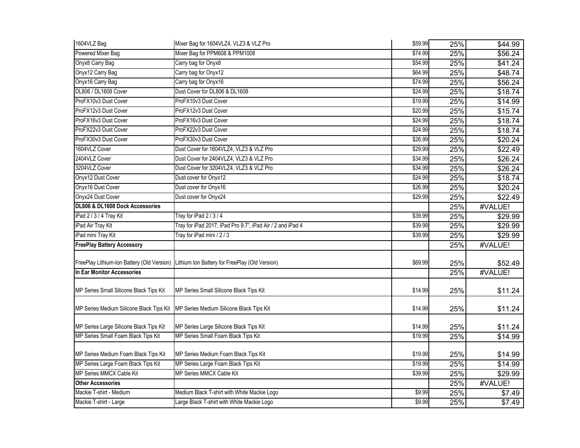| 1604VLZ Bag                                | Mixer Bag for 1604VLZ4, VLZ3 & VLZ Pro                     | \$59.99 | 25% | \$44.99         |
|--------------------------------------------|------------------------------------------------------------|---------|-----|-----------------|
| Powered Mixer Bag                          | Mixer Bag for PPM608 & PPM1008                             | \$74.99 | 25% | \$56.24         |
| Onyx8 Carry Bag                            | Carry bag for Onyx8                                        | \$54.99 | 25% | \$41.24         |
| Onyx12 Carry Bag                           | Carry bag for Onyx12                                       | \$64.99 | 25% | \$48.74         |
| Onyx16 Carry Bag                           | Carry bag for Onyx16                                       | \$74.99 | 25% | \$56.24         |
| DL806 / DL1608 Cover                       | Dust Cover for DL806 & DL1608                              | \$24.99 | 25% | \$18.74         |
| ProFX10v3 Dust Cover                       | ProFX10v3 Dust Cover                                       | \$19.99 | 25% | \$14.99         |
| ProFX12v3 Dust Cover                       | ProFX12v3 Dust Cover                                       | \$20.99 | 25% | \$15.74         |
| ProFX16v3 Dust Cover                       | ProFX16v3 Dust Cover                                       | \$24.99 | 25% | \$18.74         |
| ProFX22v3 Dust Cover                       | ProFX22v3 Dust Cover                                       | \$24.99 | 25% | \$18.74         |
| ProFX30v3 Dust Cover                       | ProFX30v3 Dust Cover                                       | \$26.99 | 25% | \$20.24         |
| 1604VLZ Cover                              | Dust Cover for 1604VLZ4, VLZ3 & VLZ Pro                    | \$29.99 | 25% | \$22.49         |
| 2404VLZ Cover                              | Dust Cover for 2404VLZ4, VLZ3 & VLZ Pro                    | \$34.99 | 25% | \$26.24         |
| 3204VLZ Cover                              | Dust Cover for 3204VLZ4, VLZ3 & VLZ Pro                    | \$34.99 | 25% | \$26.24         |
| Onyx12 Dust Cover                          | Dust cover for Onyx12                                      | \$24.99 | 25% | \$18.74         |
| Onyx16 Dust Cover                          | Dust cover for Onyx16                                      | \$26.99 | 25% | \$20.24         |
| Onyx24 Dust Cover                          | Dust cover for Onyx24                                      | \$29.99 | 25% | \$22.49         |
| DL806 & DL1608 Dock Accessories            |                                                            |         | 25% | #VALUE!         |
| iPad 2 / 3 / 4 Tray Kit                    | Tray for iPad 2 / 3 / 4                                    | \$39.99 | 25% | $\sqrt{$29.99}$ |
| iPad Air Tray Kit                          | Tray for iPad 2017, iPad Pro 9.7", iPad Air / 2 and iPad 4 | \$39.99 | 25% | \$29.99         |
| iPad mini Tray Kit                         | Tray for iPad mini / 2 / 3                                 | \$39.99 | 25% | \$29.99         |
| <b>FreePlay Battery Accessory</b>          |                                                            |         | 25% | #VALUE!         |
| FreePlay Lithium-Ion Battery (Old Version) | Lithium Ion Battery for FreePlay (Old Version)             | \$69.99 | 25% | \$52.49         |
| In Ear Monitor Accessories                 |                                                            |         | 25% | #VALUE!         |
| MP Series Small Silicone Black Tips Kit    | MP Series Small Silicone Black Tips Kit                    | \$14.99 | 25% | \$11.24         |
| MP Series Medium Silicone Black Tips Kit   | MP Series Medium Silicone Black Tips Kit                   | \$14.99 | 25% | \$11.24         |
| MP Series Large Silicone Black Tips Kit    | MP Series Large Silicone Black Tips Kit                    | \$14.99 | 25% | \$11.24         |
| MP Series Small Foam Black Tips Kit        | MP Series Small Foam Black Tips Kit                        | \$19.99 | 25% | \$14.99         |
| MP Series Medium Foam Black Tips Kit       | MP Series Medium Foam Black Tips Kit                       | \$19.99 | 25% | \$14.99         |
| MP Series Large Foam Black Tips Kit        | MP Series Large Foam Black Tips Kit                        | \$19.99 | 25% | \$14.99         |
| MP Series MMCX Cable Kit                   | MP Series MMCX Cable Kit                                   | \$39.99 | 25% | \$29.99         |
| <b>Other Accessories</b>                   |                                                            |         | 25% | #VALUE!         |
| Mackie T-shirt - Medium                    | Medium Black T-shirt with White Mackie Logo                | \$9.99  | 25% | \$7.49          |
| Mackie T-shirt - Large                     | Large Black T-shirt with White Mackie Logo                 | \$9.99  | 25% | $\sqrt{$7.49}$  |